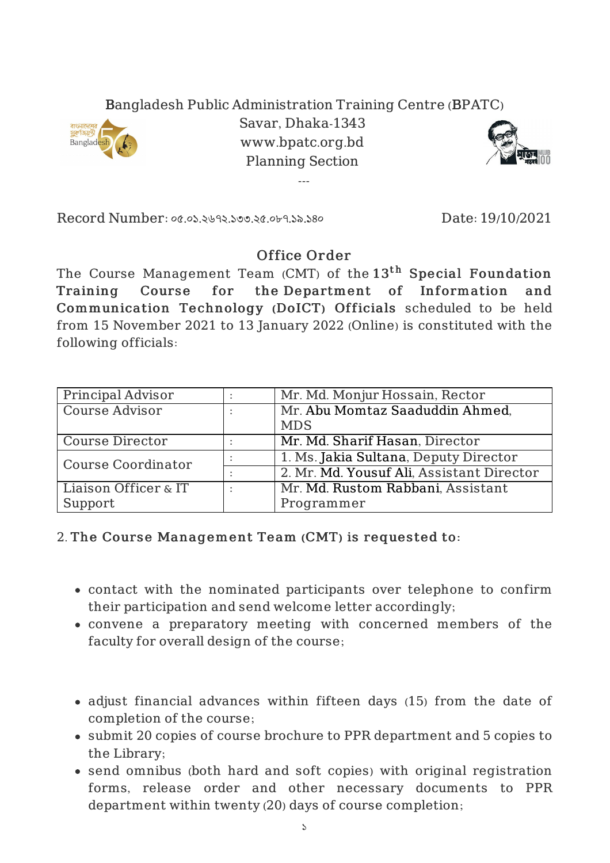## Bangladesh Public Administration Training Centre (BPATC)



Savar, Dhaka-1343 www.bpatc.org.bd Planning Section

---



Record Number: ০৫.০১.২৬৭২.১৩৩.২৫.০৮৭.১৯.১৪০ Date: 19/10/2021

## Office Order

The Course Management Team (CMT) of the  $13^{\rm th}$  Special Foundation Training Course for the Department of Information and Communication Technology (DoICT) Officials scheduled to be held from 15 November 2021 to 13 January 2022 (Online) is constituted with the following officials:

| Principal Advisor         |           | Mr. Md. Monjur Hossain, Rector            |
|---------------------------|-----------|-------------------------------------------|
| Course Advisor            | $\bullet$ | Mr. Abu Momtaz Saaduddin Ahmed,           |
|                           |           | <b>MDS</b>                                |
| Course Director           |           | Mr. Md. Sharif Hasan, Director            |
| <b>Course Coordinator</b> |           | 1. Ms. Jakia Sultana, Deputy Director     |
|                           |           | 2. Mr. Md. Yousuf Ali, Assistant Director |
| Liaison Officer & IT      |           | Mr. Md. Rustom Rabbani, Assistant         |
| Support                   |           | Programmer                                |

## 2. The Course Management Team (CMT) is requested to:

- contact with the nominated participants over telephone to confirm their participation and send welcome letter accordingly;
- convene a preparatory meeting with concerned members of the faculty for overall design of the course;
- adjust financial advances within fifteen days (15) from the date of completion of the course;
- submit 20 copies of course brochure to PPR department and 5 copies to the Library;
- send omnibus (both hard and soft copies) with original registration forms, release order and other necessary documents to PPR department within twenty (20) days of course completion;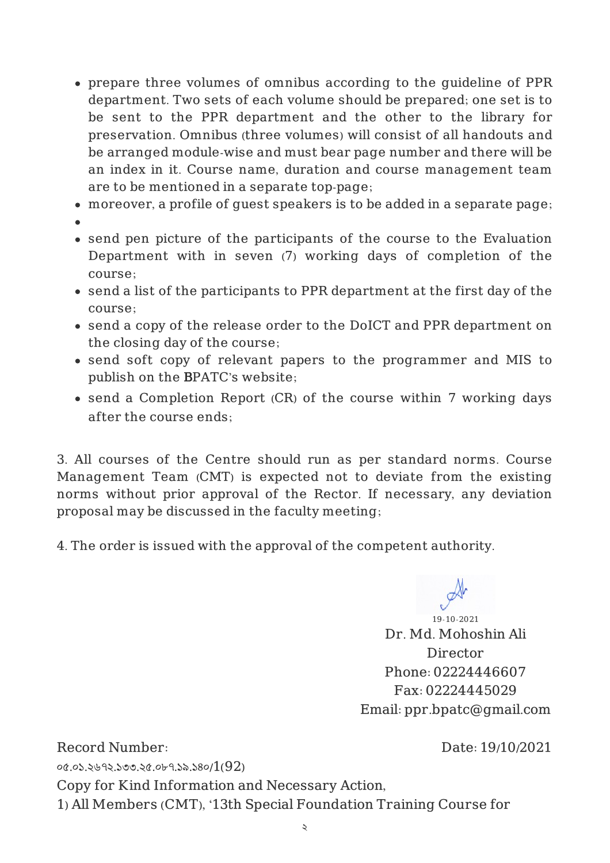- prepare three volumes of omnibus according to the guideline of PPR department. Two sets of each volume should be prepared; one set is to be sent to the PPR department and the other to the library for preservation. Omnibus (three volumes) will consist of all handouts and be arranged module-wise and must bear page number and there will be an index in it. Course name, duration and course management team are to be mentioned in a separate top-page;
- moreover, a profile of guest speakers is to be added in a separate page;
- 
- send pen picture of the participants of the course to the Evaluation Department with in seven (7) working days of completion of the course;
- send a list of the participants to PPR department at the first day of the course;
- send a copy of the release order to the DoICT and PPR department on the closing day of the course;
- send soft copy of relevant papers to the programmer and MIS to publish on the BPATC's website;
- send a Completion Report (CR) of the course within 7 working days after the course ends;

3. All courses of the Centre should run as per standard norms. Course Management Team (CMT) is expected not to deviate from the existing norms without prior approval of the Rector. If necessary, any deviation proposal may be discussed in the faculty meeting;

4. The order is issued with the approval of the competent authority.

19-10-2021 Dr. Md. Mohoshin Ali Director Phone: 02224446607 Fax: 02224445029 Email: ppr.bpatc@gmail.com

Record Number: ০৫.০১.২৬৭২.১৩৩.২৫.০৮৭.১৯.১৪০/1(92) Date: 19/10/2021 Copy for Kind Information and Necessary Action, 1) All Members (CMT), '13th Special Foundation Training Course for